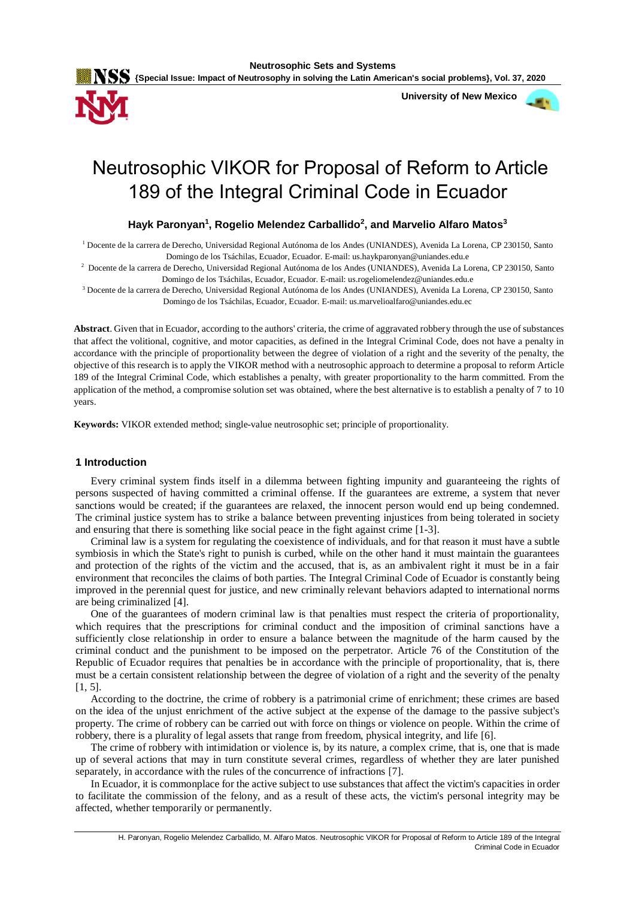

 **University of New Mexico**



# Neutrosophic VIKOR for Proposal of Reform to Article 189 of the Integral Criminal Code in Ecuador

# **Hayk Paronyan<sup>1</sup> , Rogelio Melendez Carballido<sup>2</sup> , and Marvelio Alfaro Matos<sup>3</sup>**

<sup>1</sup> Docente de la carrera de Derecho, Universidad Regional Autónoma de los Andes (UNIANDES), Avenida La Lorena, CP 230150, Santo Domingo de los Tsáchilas, Ecuador, Ecuador. E-mail: us.haykparonyan@uniandes.edu.e

2 Docente de la carrera de Derecho, Universidad Regional Autónoma de los Andes (UNIANDES), Avenida La Lorena, CP 230150, Santo Domingo de los Tsáchilas, Ecuador, Ecuador. E-mail: us.rogeliomelendez@uniandes.edu.e

<sup>3</sup> Docente de la carrera de Derecho, Universidad Regional Autónoma de los Andes (UNIANDES), Avenida La Lorena, CP 230150, Santo Domingo de los Tsáchilas, Ecuador, Ecuador. E-mail: us.marvelioalfaro@uniandes.edu.ec

**Abstract**. Given that in Ecuador, according to the authors' criteria, the crime of aggravated robbery through the use of substances that affect the volitional, cognitive, and motor capacities, as defined in the Integral Criminal Code, does not have a penalty in accordance with the principle of proportionality between the degree of violation of a right and the severity of the penalty, the objective of this research is to apply the VIKOR method with a neutrosophic approach to determine a proposal to reform Article 189 of the Integral Criminal Code, which establishes a penalty, with greater proportionality to the harm committed. From the application of the method, a compromise solution set was obtained, where the best alternative is to establish a penalty of 7 to 10 years.

**Keywords:** VIKOR extended method; single-value neutrosophic set; principle of proportionality.

# **1 Introduction**

Every criminal system finds itself in a dilemma between fighting impunity and guaranteeing the rights of persons suspected of having committed a criminal offense. If the guarantees are extreme, a system that never sanctions would be created; if the guarantees are relaxed, the innocent person would end up being condemned. The criminal justice system has to strike a balance between preventing injustices from being tolerated in society and ensuring that there is something like social peace in the fight against crime [1-3].

Criminal law is a system for regulating the coexistence of individuals, and for that reason it must have a subtle symbiosis in which the State's right to punish is curbed, while on the other hand it must maintain the guarantees and protection of the rights of the victim and the accused, that is, as an ambivalent right it must be in a fair environment that reconciles the claims of both parties. The Integral Criminal Code of Ecuador is constantly being improved in the perennial quest for justice, and new criminally relevant behaviors adapted to international norms are being criminalized [4].

One of the guarantees of modern criminal law is that penalties must respect the criteria of proportionality, which requires that the prescriptions for criminal conduct and the imposition of criminal sanctions have a sufficiently close relationship in order to ensure a balance between the magnitude of the harm caused by the criminal conduct and the punishment to be imposed on the perpetrator. Article 76 of the Constitution of the Republic of Ecuador requires that penalties be in accordance with the principle of proportionality, that is, there must be a certain consistent relationship between the degree of violation of a right and the severity of the penalty  $[1, 5]$ .

According to the doctrine, the crime of robbery is a patrimonial crime of enrichment; these crimes are based on the idea of the unjust enrichment of the active subject at the expense of the damage to the passive subject's property. The crime of robbery can be carried out with force on things or violence on people. Within the crime of robbery, there is a plurality of legal assets that range from freedom, physical integrity, and life [6].

The crime of robbery with intimidation or violence is, by its nature, a complex crime, that is, one that is made up of several actions that may in turn constitute several crimes, regardless of whether they are later punished separately, in accordance with the rules of the concurrence of infractions [7].

In Ecuador, it is commonplace for the active subject to use substances that affect the victim's capacities in order to facilitate the commission of the felony, and as a result of these acts, the victim's personal integrity may be affected, whether temporarily or permanently.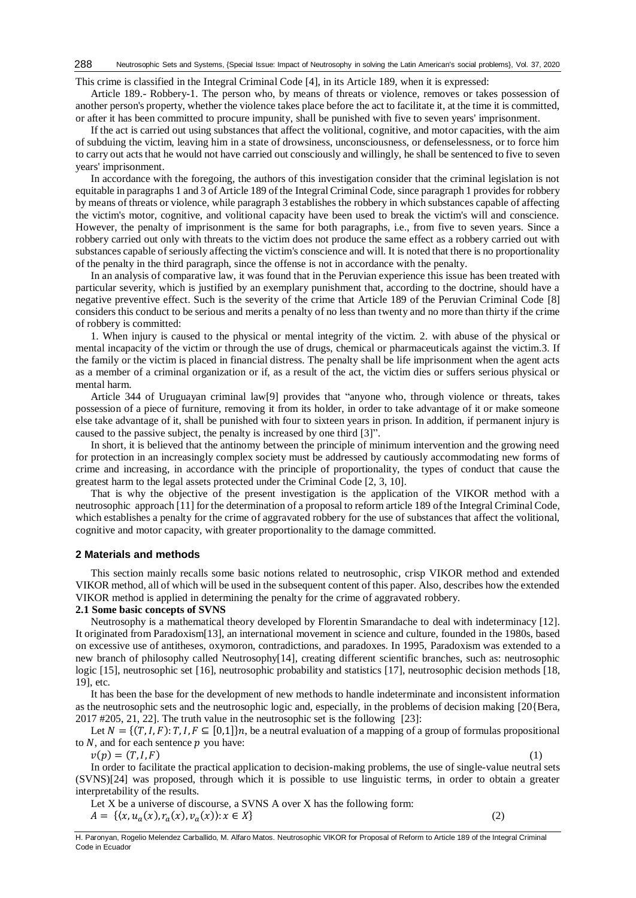This crime is classified in the Integral Criminal Code [4], in its Article 189, when it is expressed:

Article 189.- Robbery-1. The person who, by means of threats or violence, removes or takes possession of another person's property, whether the violence takes place before the act to facilitate it, at the time it is committed, or after it has been committed to procure impunity, shall be punished with five to seven years' imprisonment.

If the act is carried out using substances that affect the volitional, cognitive, and motor capacities, with the aim of subduing the victim, leaving him in a state of drowsiness, unconsciousness, or defenselessness, or to force him to carry out acts that he would not have carried out consciously and willingly, he shall be sentenced to five to seven years' imprisonment.

In accordance with the foregoing, the authors of this investigation consider that the criminal legislation is not equitable in paragraphs 1 and 3 of Article 189 of the Integral Criminal Code, since paragraph 1 provides for robbery by means of threats or violence, while paragraph 3 establishes the robbery in which substances capable of affecting the victim's motor, cognitive, and volitional capacity have been used to break the victim's will and conscience. However, the penalty of imprisonment is the same for both paragraphs, i.e., from five to seven years. Since a robbery carried out only with threats to the victim does not produce the same effect as a robbery carried out with substances capable of seriously affecting the victim's conscience and will. It is noted that there is no proportionality of the penalty in the third paragraph, since the offense is not in accordance with the penalty.

In an analysis of comparative law, it was found that in the Peruvian experience this issue has been treated with particular severity, which is justified by an exemplary punishment that, according to the doctrine, should have a negative preventive effect. Such is the severity of the crime that Article 189 of the Peruvian Criminal Code [8] considers this conduct to be serious and merits a penalty of no less than twenty and no more than thirty if the crime of robbery is committed:

1. When injury is caused to the physical or mental integrity of the victim. 2. with abuse of the physical or mental incapacity of the victim or through the use of drugs, chemical or pharmaceuticals against the victim.3. If the family or the victim is placed in financial distress. The penalty shall be life imprisonment when the agent acts as a member of a criminal organization or if, as a result of the act, the victim dies or suffers serious physical or mental harm.

Article 344 of Uruguayan criminal law[9] provides that "anyone who, through violence or threats, takes possession of a piece of furniture, removing it from its holder, in order to take advantage of it or make someone else take advantage of it, shall be punished with four to sixteen years in prison. In addition, if permanent injury is caused to the passive subject, the penalty is increased by one third [3]".

In short, it is believed that the antinomy between the principle of minimum intervention and the growing need for protection in an increasingly complex society must be addressed by cautiously accommodating new forms of crime and increasing, in accordance with the principle of proportionality, the types of conduct that cause the greatest harm to the legal assets protected under the Criminal Code [2, 3, 10].

That is why the objective of the present investigation is the application of the VIKOR method with a neutrosophic approach [11] for the determination of a proposal to reform article 189 of the Integral Criminal Code, which establishes a penalty for the crime of aggravated robbery for the use of substances that affect the volitional, cognitive and motor capacity, with greater proportionality to the damage committed.

#### **2 Materials and methods**

This section mainly recalls some basic notions related to neutrosophic, crisp VIKOR method and extended VIKOR method, all of which will be used in the subsequent content of this paper. Also, describes how the extended VIKOR method is applied in determining the penalty for the crime of aggravated robbery.

#### **2.1 Some basic concepts of SVNS**

Neutrosophy is a mathematical theory developed by Florentin Smarandache to deal with indeterminacy [12]. It originated from Paradoxism[13], an international movement in science and culture, founded in the 1980s, based on excessive use of antitheses, oxymoron, contradictions, and paradoxes. In 1995, Paradoxism was extended to a new branch of philosophy called Neutrosophy[14], creating different scientific branches, such as: neutrosophic logic [15], neutrosophic set [16], neutrosophic probability and statistics [17], neutrosophic decision methods [18, 19], etc.

It has been the base for the development of new methods to handle indeterminate and inconsistent information as the neutrosophic sets and the neutrosophic logic and, especially, in the problems of decision making [20{Bera, 2017 #205, 21, 22]. The truth value in the neutrosophic set is the following [23]:

Let  $N = \{(T, I, F): T, I, F \subseteq [0,1]\}$ , be a neutral evaluation of a mapping of a group of formulas propositional to  $N$ , and for each sentence  $p$  you have:

 $v(p) = (T, I, F)$  (1)

In order to facilitate the practical application to decision-making problems, the use of single-value neutral sets (SVNS)[24] was proposed, through which it is possible to use linguistic terms, in order to obtain a greater interpretability of the results.

Let X be a universe of discourse, a SVNS A over X has the following form:  $A = \{(x, u_a(x), r_a(x), v_a(x)) : x \in X\}$  (2)

H. Paronyan, Rogelio Melendez Carballido, M. Alfaro Matos. Neutrosophic VIKOR for Proposal of Reform to Article 189 of the Integral Criminal Code in Ecuador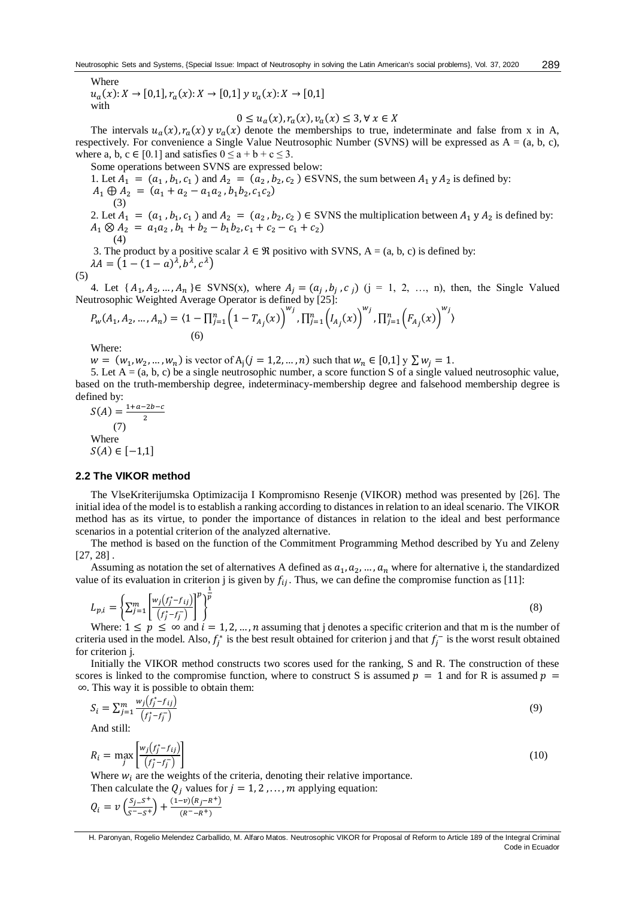Where

 $u_a(x): X \to [0,1], r_a(x): X \to [0,1]$  y  $v_a(x): X \to [0,1]$ with

$$
0 \le u_a(x), r_a(x), v_a(x) \le 3, \forall x \in X
$$

The intervals  $u_a(x)$ ,  $r_a(x)$  y  $v_a(x)$  denote the memberships to true, indeterminate and false from x in A, respectively. For convenience a Single Value Neutrosophic Number (SVNS) will be expressed as A = (a, b, c), where a, b,  $c \in [0.1]$  and satisfies  $0 \le a + b + c \le 3$ .

Some operations between SVNS are expressed below: 1. Let  $A_1 = (a_1, b_1, c_1)$  and  $A_2 = (a_2, b_2, c_2)$  ESVNS, the sum between  $A_1 \, y \, A_2$  is defined by:  $A_1 \oplus A_2 = (a_1 + a_2 - a_1 a_2, b_1 b_2, c_1 c_2)$ (3) 2. Let  $A_1 = (a_1, b_1, c_1)$  and  $A_2 = (a_2, b_2, c_2) \in$  SVNS the multiplication between  $A_1 y A_2$  is defined by:  $A_1 \otimes A_2 = a_1 a_2$ ,  $b_1 + b_2 - b_1 b_2$ ,  $c_1 + c_2 - c_1 + c_2$ (4)

3. The product by a positive scalar  $\lambda \in \mathcal{R}$  positivo with SVNS, A = (a, b, c) is defined by:  $\lambda A = (1 - (1 - a)^{\lambda}, b^{\lambda}, c^{\lambda})$ ) and the contract of  $\overline{\phantom{a}}$ 

$$
(5)
$$

4. Let  $\{A_1, A_2, ..., A_n\} \in SVMS(x)$ , where  $A_j = (a_j, b_j, c_j)$   $(j = 1, 2, ..., n)$ , then, the Single Valued Neutrosophic Weighted Average Operator is defined by [25]:

$$
P_{w}(A_1, A_2, ..., A_n) = \langle 1 - \prod_{j=1}^{n} \left(1 - T_{A_j}(x)\right)^{w_j}, \prod_{j=1}^{n} \left( I_{A_j}(x)\right)^{w_j}, \prod_{j=1}^{n} \left( F_{A_j}(x)\right)^{w_j}
$$
\n
$$
(6)
$$

Where:

 $w = (w_1, w_2, ..., w_n)$  is vector of  $A_j (j = 1, 2, ..., n)$  such that  $w_n \in [0, 1]$   $y \sum w_j = 1$ .

5. Let  $A = (a, b, c)$  be a single neutrosophic number, a score function S of a single valued neutrosophic value, based on the truth-membership degree, indeterminacy-membership degree and falsehood membership degree is defined by:

$$
S(A) = \frac{1+a-2b-c}{2}
$$
  
(7)  
Where  

$$
S(A) \in [-1,1]
$$

### **2.2 The VIKOR method**

The VlseKriterijumska Optimizacija I Kompromisno Resenje (VIKOR) method was presented by [26]. The initial idea of the model is to establish a ranking according to distances in relation to an ideal scenario. The VIKOR method has as its virtue, to ponder the importance of distances in relation to the ideal and best performance scenarios in a potential criterion of the analyzed alternative.

The method is based on the function of the Commitment Programming Method described by Yu and Zeleny [27, 28] .

Assuming as notation the set of alternatives A defined as  $a_1, a_2, ..., a_n$  where for alternative i, the standardized value of its evaluation in criterion j is given by  $f_{ij}$ . Thus, we can define the compromise function as [11]:

$$
L_{p,i} = \left\{ \sum_{j=1}^{m} \left[ \frac{w_j(f_j^* - f_{ij})}{(f_j^* - f_j^-)} \right]^p \right\}^{\frac{1}{p}}
$$
(8)

Where:  $1 \leq p \leq \infty$  and  $i = 1, 2, ..., n$  assuming that j denotes a specific criterion and that m is the number of criteria used in the model. Also,  $f_j^*$  is the best result obtained for criterion j and that  $f_j^-$  is the worst result obtained for criterion j.

Initially the VIKOR method constructs two scores used for the ranking, S and R. The construction of these scores is linked to the compromise function, where to construct S is assumed  $p = 1$  and for R is assumed  $p =$ ∞. This way it is possible to obtain them:

$$
S_i = \sum_{j=1}^m \frac{w_j(f_j^* - f_{ij})}{(f_j^* - f_j^-)}
$$
(9)

And still:

$$
R_i = \max_{j} \left[ \frac{w_j(f_j^* - f_{ij})}{(f_j^* - f_j^-)} \right]
$$
  
Where *w*, are the weights of the criteria denoting their relative importance

Where  $w_i$  are the weights of the criteria, denoting their relative importance.

Then calculate the  $Q_i$  values for  $j = 1, 2, ..., m$  applying equation:

$$
Q_i = \nu \left( \frac{S_j - S^+}{S^- - S^+} \right) + \frac{(1 - \nu)(R_j - R^+)}{(R^- - R^+)}
$$

H. Paronyan, Rogelio Melendez Carballido, M. Alfaro Matos. Neutrosophic VIKOR for Proposal of Reform to Article 189 of the Integral Criminal Code in Ecuador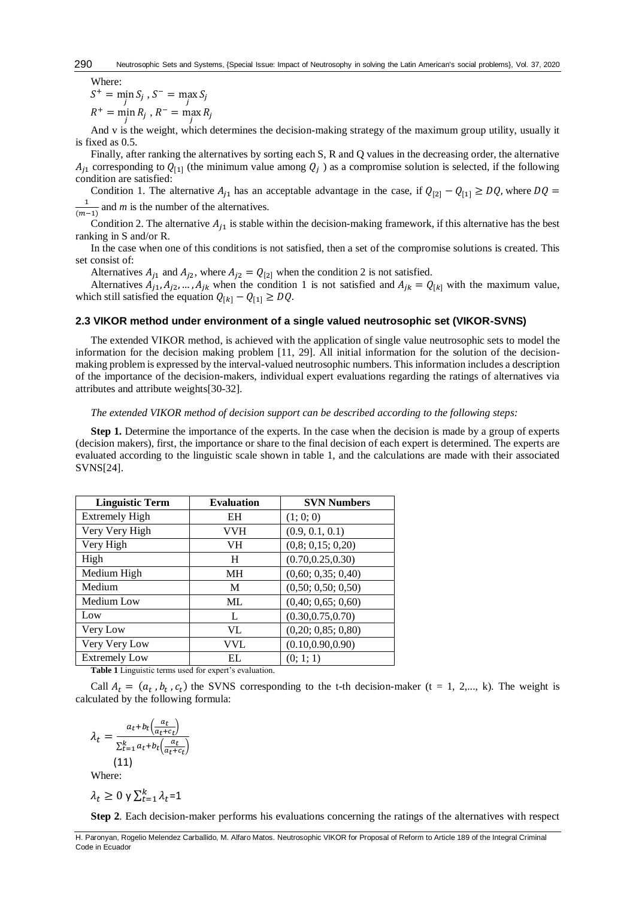Where:

 $S^+$  = min  $S_j$ ,  $S^-$  = max  $S_j$ 

 $R^+$  = min  $R_j$ ,  $R^-$  = max  $R_j$ 

And v is the weight, which determines the decision-making strategy of the maximum group utility, usually it is fixed as 0.5.

Finally, after ranking the alternatives by sorting each S, R and Q values in the decreasing order, the alternative  $A_{j1}$  corresponding to  $Q_{[1]}$  (the minimum value among  $Q_j$ ) as a compromise solution is selected, if the following condition are satisfied:

Condition 1. The alternative  $A_{j1}$  has an acceptable advantage in the case, if  $Q_{[2]} - Q_{[1]} \ge DQ$ , where  $DQ =$ 1  $\frac{1}{(m-1)}$  and *m* is the number of the alternatives.

Condition 2. The alternative  $A_{i1}$  is stable within the decision-making framework, if this alternative has the best ranking in S and/or R.

In the case when one of this conditions is not satisfied, then a set of the compromise solutions is created. This set consist of:

Alternatives  $A_{j1}$  and  $A_{j2}$ , where  $A_{j2} = Q_{[2]}$  when the condition 2 is not satisfied.

Alternatives  $A_{j1}, A_{j2}, ..., A_{jk}$  when the condition 1 is not satisfied and  $A_{jk} = Q_{[k]}$  with the maximum value, which still satisfied the equation  $Q_{[k]} - Q_{[1]} \geq DQ$ .

## **2.3 VIKOR method under environment of a single valued neutrosophic set (VIKOR-SVNS)**

The extended VIKOR method, is achieved with the application of single value neutrosophic sets to model the information for the decision making problem [11, 29]. All initial information for the solution of the decisionmaking problem is expressed by the interval-valued neutrosophic numbers. This information includes a description of the importance of the decision-makers, individual expert evaluations regarding the ratings of alternatives via attributes and attribute weights[30-32].

#### *The extended VIKOR method of decision support can be described according to the following steps:*

**Step 1.** Determine the importance of the experts. In the case when the decision is made by a group of experts (decision makers), first, the importance or share to the final decision of each expert is determined. The experts are evaluated according to the linguistic scale shown in table 1, and the calculations are made with their associated SVNS[24].

| <b>Linguistic Term</b> | <b>Evaluation</b> | <b>SVN Numbers</b> |
|------------------------|-------------------|--------------------|
| <b>Extremely High</b>  | EH                | (1; 0; 0)          |
| Very Very High         | VVH               | (0.9, 0.1, 0.1)    |
| Very High              | VH                | (0,8; 0,15; 0,20)  |
| High                   | H                 | (0.70, 0.25, 0.30) |
| Medium High            | МH                | (0,60; 0,35; 0,40) |
| Medium                 | M                 | (0,50; 0,50; 0,50) |
| Medium Low             | ML                | (0,40; 0,65; 0,60) |
| Low                    | L                 | (0.30, 0.75, 0.70) |
| Very Low               | VL                | (0,20; 0,85; 0,80) |
| Very Very Low          | VVL               | (0.10, 0.90, 0.90) |
| <b>Extremely Low</b>   | EL                | (0; 1; 1)          |

**Table 1** Linguistic terms used for expert's evaluation.

Call  $A_t = (a_t, b_t, c_t)$  the SVNS corresponding to the t-th decision-maker (t = 1, 2,..., k). The weight is calculated by the following formula:

$$
\lambda_t = \frac{a_t + b_t \left(\frac{a_t}{a_t + c_t}\right)}{\sum_{t=1}^k a_t + b_t \left(\frac{a_t}{a_t + c_t}\right)}
$$
\n(11)

Where:

$$
\lambda_t \geq 0 \,\mathsf{y} \, \Sigma_{t=1}^k \lambda_t = 1
$$

**Step 2***.* Each decision-maker performs his evaluations concerning the ratings of the alternatives with respect

H. Paronyan, Rogelio Melendez Carballido, M. Alfaro Matos. Neutrosophic VIKOR for Proposal of Reform to Article 189 of the Integral Criminal Code in Ecuador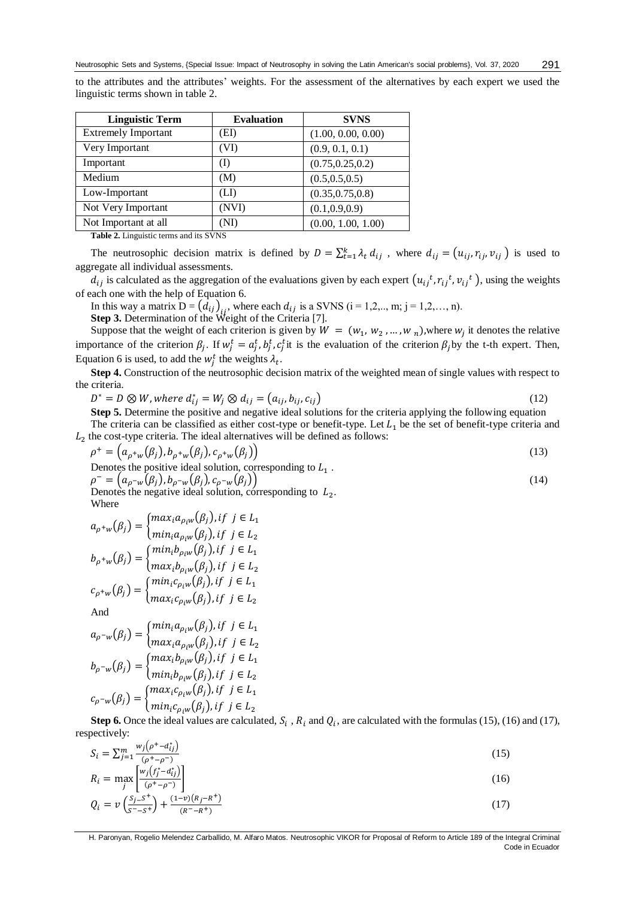to the attributes and the attributes' weights. For the assessment of the alternatives by each expert we used the linguistic terms shown in table 2.

| <b>Linguistic Term</b>     | <b>Evaluation</b> | <b>SVNS</b>        |
|----------------------------|-------------------|--------------------|
| <b>Extremely Important</b> | (EI)              | (1.00, 0.00, 0.00) |
| Very Important             | (VI)              | (0.9, 0.1, 0.1)    |
| Important                  | (I)               | (0.75, 0.25, 0.2)  |
| Medium                     | (M)               | (0.5, 0.5, 0.5)    |
| Low-Important              | (LI)              | (0.35, 0.75, 0.8)  |
| Not Very Important         | (NVI)             | (0.1, 0.9, 0.9)    |
| Not Important at all       | (NI)              | (0.00, 1.00, 1.00) |

**Table 2.** Linguistic terms and its SVNS

The neutrosophic decision matrix is defined by  $D = \sum_{t=1}^{k} \lambda_t d_{ij}$ , where  $d_{ij} = (u_{ij}, r_{ij}, v_{ij})$  is used to aggregate all individual assessments.

 $d_{ij}$  is calculated as the aggregation of the evaluations given by each expert  $(u_{ij}^t, r_{ij}^t, v_{ij}^t)$ , using the weights of each one with the help of Equation 6.

In this way a matrix  $D = (d_{ij})_{ij}$ , where each  $d_{ij}$  is a SVNS (i = 1,2,.., m; j = 1,2,..., n). **Step 3.** Determination of the Weight of the Criteria [7].

Suppose that the weight of each criterion is given by  $W = (w_1, w_2, ..., w_n)$ , where  $w_j$  it denotes the relative importance of the criterion  $\beta_j$ . If  $w_j^t = a_j^t$ ,  $b_j^t$ ,  $c_j^t$  it is the evaluation of the criterion  $\beta_j$  by the t-th expert. Then, Equation 6 is used, to add the  $w_j^t$  the weights  $\lambda_t$ .

**Step 4.** Construction of the neutrosophic decision matrix of the weighted mean of single values with respect to the criteria.

$$
D^* = D \otimes W, where d_{ij}^* = W_j \otimes d_{ij} = (a_{ij}, b_{ij}, c_{ij})
$$
\n
$$
(12)
$$

**Step 5.** Determine the positive and negative ideal solutions for the criteria applying the following equation The criteria can be classified as either cost-type or benefit-type. Let  $L_1$  be the set of benefit-type criteria and  $L<sub>2</sub>$  the cost-type criteria. The ideal alternatives will be defined as follows:

$$
\rho^+ = \left( a_{\rho^+ w}(\beta_j), b_{\rho^+ w}(\beta_j), c_{\rho^+ w}(\beta_j) \right) \tag{13}
$$

Denotes the positive ideal solution, corresponding to 
$$
L_1
$$
.  
\n
$$
\rho^{-} = \left( a_{\rho^{-}w}(\beta_j), b_{\rho^{-}w}(\beta_j), c_{\rho^{-}w}(\beta_j) \right)
$$
\n(14)

 $\rho^- = \bigl( a^{\vphantom{\dagger}}_{\rho^- w}(\beta_j), b^{\vphantom{\dagger}}_{\rho^- w}(\beta_j), c^{\vphantom{\dagger}}_{\rho}$ Denotes the negative ideal solution, corresponding to  $L_2$ . Where

$$
a_{\rho^+w}(\beta_j) = \begin{cases} max_i a_{\rho_i w}(\beta_j), if \ j \in L_1 \\ min_i a_{\rho_i w}(\beta_j), if \ j \in L_2 \end{cases}
$$

$$
b_{\rho^+w}(\beta_j) = \begin{cases} min_i b_{\rho_i w}(\beta_j), if \ j \in L_1 \\ max_i b_{\rho_i w}(\beta_j), if \ j \in L_2 \end{cases}
$$

$$
c_{\rho^+w}(\beta_j) = \begin{cases} min_i c_{\rho_i w}(\beta_j), if \ j \in L_1 \\ max_i c_{\rho_i w}(\beta_j), if \ j \in L_2 \end{cases}
$$

And

$$
a_{\rho^{-w}}(\beta_j) = \begin{cases} \min_i a_{\rho_i w}(\beta_j), if \ j \in L_1 \\ \max_i a_{\rho_i w}(\beta_j), if \ j \in L_2 \end{cases}
$$

$$
b_{\rho^{-w}}(\beta_j) = \begin{cases} \max_i b_{\rho_i w}(\beta_j), if \ j \in L_1 \\ \min_i b_{\rho_i w}(\beta_j), if \ j \in L_2 \end{cases}
$$

$$
c_{\rho^{-w}}(\beta_j) = \begin{cases} \max_i c_{\rho_i w}(\beta_j), if \ j \in L_1 \\ \min_i c_{\rho_i w}(\beta_j), if \ j \in L_2 \end{cases}
$$

**Step 6.** Once the ideal values are calculated,  $S_i$ ,  $R_i$  and  $Q_i$ , are calculated with the formulas (15), (16) and (17), respectively:

$$
S_i = \sum_{j=1}^{m} \frac{w_j(\rho^+ - d_{ij}^*)}{(\rho^+ - \rho^-)}
$$
(15)

$$
R_i = \max_j \left[ \frac{w_j \left( f_j^* - d_{ij}^* \right)}{\left( \rho^+ - \rho^- \right)} \right] \tag{16}
$$

$$
Q_i = v \left( \frac{s_j - s^+}{s^- - s^+} \right) + \frac{(1 - v)(R_j - R^+)}{(R - R^+)} \tag{17}
$$

H. Paronyan, Rogelio Melendez Carballido, M. Alfaro Matos. Neutrosophic VIKOR for Proposal of Reform to Article 189 of the Integral Criminal Code in Ecuador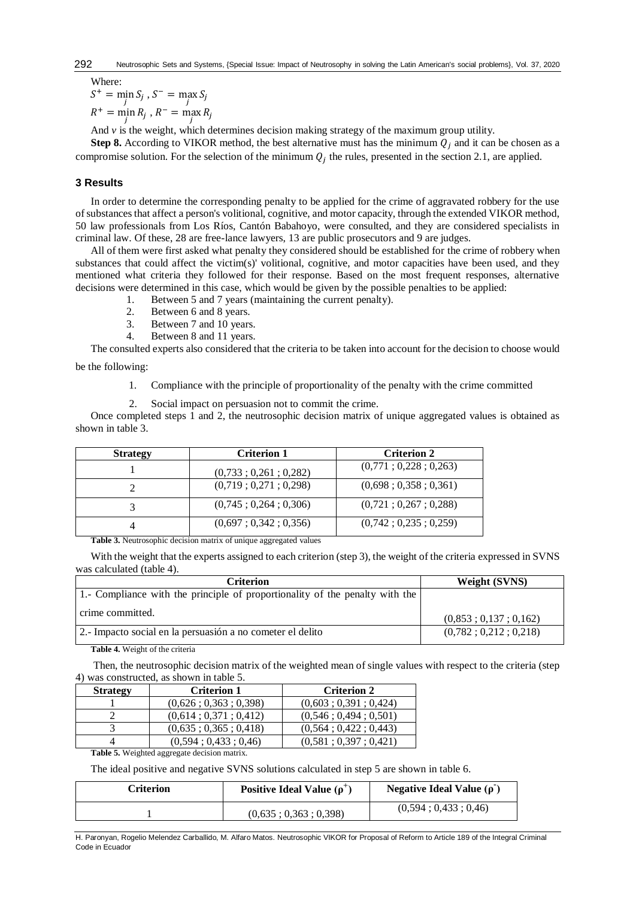Where:

 $S^+$  = min  $S_j$ ,  $S^-$  = max  $S_j$ 

 $R^+$  = min  $R_j$ ,  $R^-$  = max  $R_j$ 

And  $\nu$  is the weight, which determines decision making strategy of the maximum group utility.

**Step 8.** According to VIKOR method, the best alternative must has the minimum  $Q_i$  and it can be chosen as a compromise solution. For the selection of the minimum  $Q_j$  the rules, presented in the section 2.1, are applied.

# **3 Results**

In order to determine the corresponding penalty to be applied for the crime of aggravated robbery for the use of substances that affect a person's volitional, cognitive, and motor capacity, through the extended VIKOR method, 50 law professionals from Los Ríos, Cantón Babahoyo, were consulted, and they are considered specialists in criminal law. Of these, 28 are free-lance lawyers, 13 are public prosecutors and 9 are judges.

All of them were first asked what penalty they considered should be established for the crime of robbery when substances that could affect the victim(s)' volitional, cognitive, and motor capacities have been used, and they mentioned what criteria they followed for their response. Based on the most frequent responses, alternative decisions were determined in this case, which would be given by the possible penalties to be applied:

- 1. Between 5 and 7 years (maintaining the current penalty).
- 2. Between 6 and 8 years.
- 3. Between 7 and 10 years.
- 4. Between 8 and 11 years.

The consulted experts also considered that the criteria to be taken into account for the decision to choose would

be the following:

- 1. Compliance with the principle of proportionality of the penalty with the crime committed
- 2. Social impact on persuasion not to commit the crime.

Once completed steps 1 and 2, the neutrosophic decision matrix of unique aggregated values is obtained as shown in table 3.

| <b>Strategy</b> | <b>Criterion 1</b>    | <b>Criterion 2</b>    |
|-----------------|-----------------------|-----------------------|
|                 | (0.733:0.261:0.282)   | (0,771; 0,228; 0,263) |
|                 | (0,719; 0,271; 0,298) | (0,698; 0,358; 0,361) |
| 3               | (0,745; 0,264; 0,306) | (0,721; 0,267; 0,288) |
| 4               | (0,697; 0,342; 0,356) | (0,742; 0,235; 0,259) |

**Table 3.** Neutrosophic decision matrix of unique aggregated values

With the weight that the experts assigned to each criterion (step 3), the weight of the criteria expressed in SVNS was calculated (table 4).

| Criterion                                                                    | <b>Weight (SVNS)</b>  |  |
|------------------------------------------------------------------------------|-----------------------|--|
| 1.- Compliance with the principle of proportionality of the penalty with the |                       |  |
| crime committed.                                                             | (0.853:0.137:0.162)   |  |
| 2.- Impacto social en la persuasión a no cometer el delito                   | (0,782; 0,212; 0,218) |  |

**Table 4.** Weight of the criteria

Then, the neutrosophic decision matrix of the weighted mean of single values with respect to the criteria (step 4) was constructed, as shown in table 5.

| <b>Strategy</b> | <b>Criterion 1</b>    | <b>Criterion 2</b>    |
|-----------------|-----------------------|-----------------------|
|                 | (0.626:0.363:0.398)   | (0,603; 0,391; 0,424) |
|                 | (0.614:0.371:0.412)   | (0.546:0.494:0.501)   |
|                 | (0,635; 0,365; 0,418) | (0,564; 0,422; 0,443) |
|                 | (0,594; 0,433; 0,46)  | (0,581; 0,397; 0,421) |

**Table 5.** Weighted aggregate decision matrix.

The ideal positive and negative SVNS solutions calculated in step 5 are shown in table 6.

| Criterion | Positive Ideal Value $(\rho^+)$ | <b>Negative Ideal Value (<math>\rho</math>)</b> |
|-----------|---------------------------------|-------------------------------------------------|
|           | (0.635:0.363:0.398)             | (0.594:0.433:0.46)                              |

H. Paronyan, Rogelio Melendez Carballido, M. Alfaro Matos. Neutrosophic VIKOR for Proposal of Reform to Article 189 of the Integral Criminal Code in Ecuador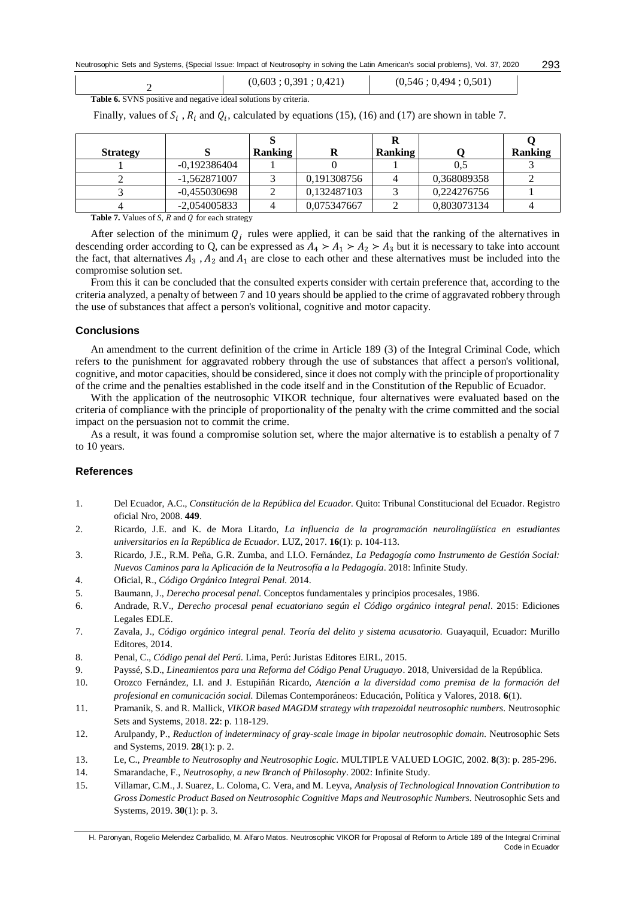Neutrosophic Sets and Systems, {Special Issue: Impact of Neutrosophy in solving the Latin American's social problems}, Vol. 37, 2020 293

|  | (0,603; 0,391; 0,421) | (0,546; 0,494; 0,501) |
|--|-----------------------|-----------------------|
|--|-----------------------|-----------------------|

**Table 6.** SVNS positive and negative ideal solutions by criteria.

Finally, values of  $S_i$ ,  $R_i$  and  $Q_i$ , calculated by equations (15), (16) and (17) are shown in table 7.

| <b>Strategy</b> |                | <b>Ranking</b> |             | <b>Ranking</b> |             | <b>Ranking</b> |
|-----------------|----------------|----------------|-------------|----------------|-------------|----------------|
|                 | $-0.192386404$ |                |             |                |             |                |
|                 | $-1,562871007$ |                | 0,191308756 |                | 0,368089358 |                |
|                 | $-0.455030698$ |                | 0.132487103 |                | 0.224276756 |                |
|                 | $-2,054005833$ |                | 0.075347667 |                | 0.803073134 |                |

**Table 7.** Values of *S*,  $R$  and  $Q$  for each strategy

After selection of the minimum  $Q_j$  rules were applied, it can be said that the ranking of the alternatives in descending order according to Q, can be expressed as  $A_4 > A_1 > A_2 > A_3$  but it is necessary to take into account the fact, that alternatives  $A_3$ ,  $A_2$  and  $A_1$  are close to each other and these alternatives must be included into the compromise solution set.

From this it can be concluded that the consulted experts consider with certain preference that, according to the criteria analyzed, a penalty of between 7 and 10 years should be applied to the crime of aggravated robbery through the use of substances that affect a person's volitional, cognitive and motor capacity.

#### **Conclusions**

An amendment to the current definition of the crime in Article 189 (3) of the Integral Criminal Code, which refers to the punishment for aggravated robbery through the use of substances that affect a person's volitional, cognitive, and motor capacities, should be considered, since it does not comply with the principle of proportionality of the crime and the penalties established in the code itself and in the Constitution of the Republic of Ecuador.

With the application of the neutrosophic VIKOR technique, four alternatives were evaluated based on the criteria of compliance with the principle of proportionality of the penalty with the crime committed and the social impact on the persuasion not to commit the crime.

As a result, it was found a compromise solution set, where the major alternative is to establish a penalty of 7 to 10 years.

# **References**

- 1. Del Ecuador, A.C., *Constitución de la República del Ecuador.* Quito: Tribunal Constitucional del Ecuador. Registro oficial Nro, 2008. **449**.
- 2. Ricardo, J.E. and K. de Mora Litardo, *La influencia de la programación neurolingüística en estudiantes universitarios en la República de Ecuador.* LUZ, 2017. **16**(1): p. 104-113.
- 3. Ricardo, J.E., R.M. Peña, G.R. Zumba, and I.I.O. Fernández, *La Pedagogía como Instrumento de Gestión Social: Nuevos Caminos para la Aplicación de la Neutrosofía a la Pedagogía*. 2018: Infinite Study.
- 4. Oficial, R., *Código Orgánico Integral Penal.* 2014.
- 5. Baumann, J., *Derecho procesal penal.* Conceptos fundamentales y principios procesales, 1986.
- 6. Andrade, R.V., *Derecho procesal penal ecuatoriano según el Código orgánico integral penal*. 2015: Ediciones Legales EDLE.
- 7. Zavala, J., *Código orgánico integral penal. Teoría del delito y sistema acusatorio.* Guayaquil, Ecuador: Murillo Editores, 2014.
- 8. Penal, C., *Código penal del Perú.* Lima, Perú: Juristas Editores EIRL, 2015.
- 9. Payssé, S.D., *Lineamientos para una Reforma del Código Penal Uruguayo*. 2018, Universidad de la República.
- 10. Orozco Fernández, I.I. and J. Estupiñán Ricardo, *Atención a la diversidad como premisa de la formación del profesional en comunicación social.* Dilemas Contemporáneos: Educación, Política y Valores, 2018. **6**(1).
- 11. Pramanik, S. and R. Mallick, *VIKOR based MAGDM strategy with trapezoidal neutrosophic numbers.* Neutrosophic Sets and Systems, 2018. **22**: p. 118-129.
- 12. Arulpandy, P., *Reduction of indeterminacy of gray-scale image in bipolar neutrosophic domain.* Neutrosophic Sets and Systems, 2019. **28**(1): p. 2.
- 13. Le, C., *Preamble to Neutrosophy and Neutrosophic Logic.* MULTIPLE VALUED LOGIC, 2002. **8**(3): p. 285-296.
- 14. Smarandache, F., *Neutrosophy, a new Branch of Philosophy*. 2002: Infinite Study.
- 15. Villamar, C.M., J. Suarez, L. Coloma, C. Vera, and M. Leyva, *Analysis of Technological Innovation Contribution to Gross Domestic Product Based on Neutrosophic Cognitive Maps and Neutrosophic Numbers.* Neutrosophic Sets and Systems, 2019. **30**(1): p. 3.

H. Paronyan, Rogelio Melendez Carballido, M. Alfaro Matos. Neutrosophic VIKOR for Proposal of Reform to Article 189 of the Integral Criminal Code in Ecuador